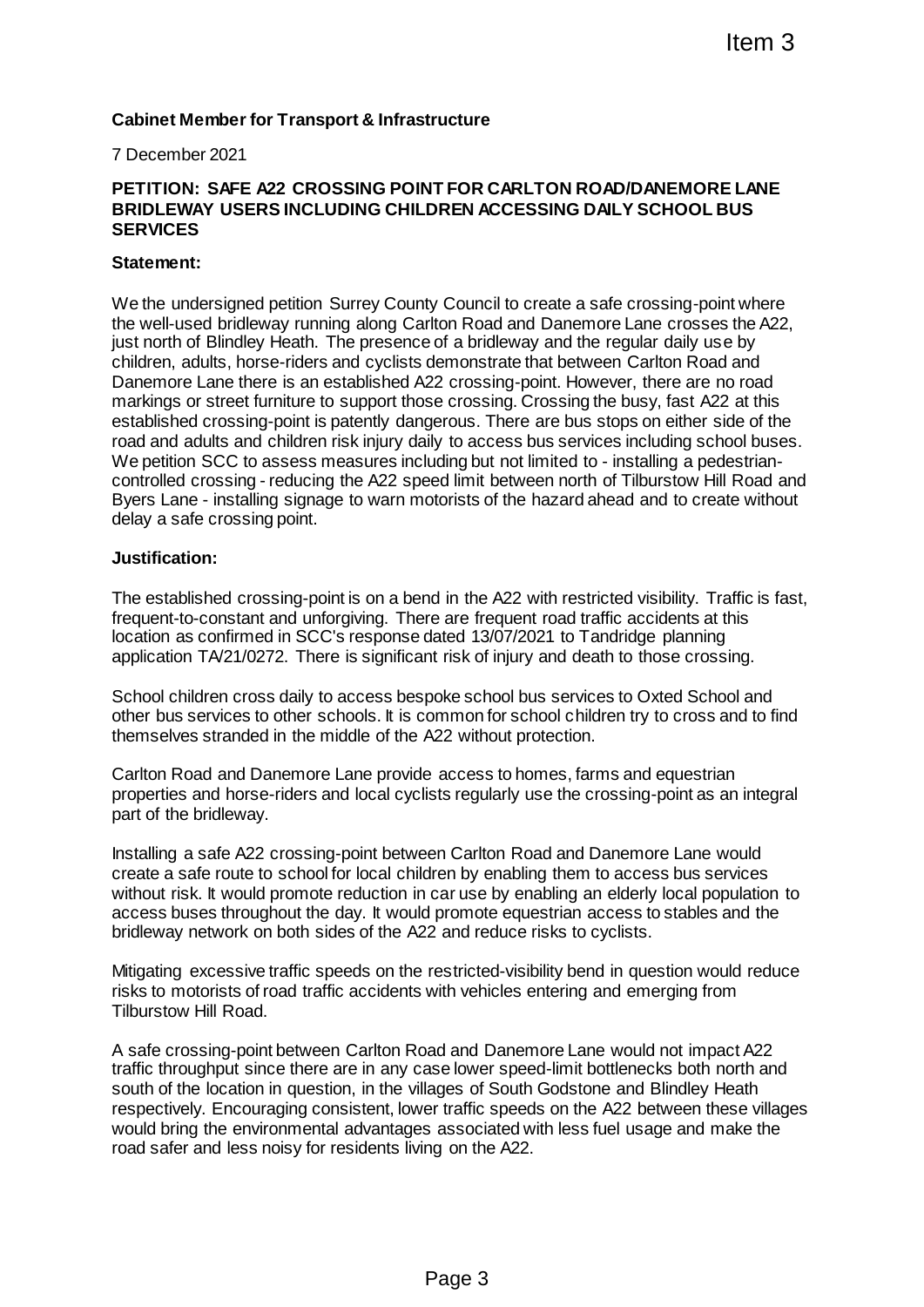# **Cabinet Member for Transport & Infrastructure**

#### 7 December 2021

## **PETITION: SAFE A22 CROSSING POINT FOR CARLTON ROAD/DANEMORE LANE BRIDLEWAY USERS INCLUDING CHILDREN ACCESSING DAILY SCHOOL BUS SERVICES**

## **Statement:**

We the undersigned petition Surrey County Council to create a safe crossing-point where the well-used bridleway running along Carlton Road and Danemore Lane crosses the A22, just north of Blindley Heath. The presence of a bridleway and the regular daily use by children, adults, horse-riders and cyclists demonstrate that between Carlton Road and Danemore Lane there is an established A22 crossing-point. However, there are no road markings or street furniture to support those crossing. Crossing the busy, fast A22 at this established crossing-point is patently dangerous. There are bus stops on either side of the road and adults and children risk injury daily to access bus services including school buses. We petition SCC to assess measures including but not limited to - installing a pedestriancontrolled crossing - reducing the A22 speed limit between north of Tilburstow Hill Road and Byers Lane - installing signage to warn motorists of the hazard ahead and to create without delay a safe crossing point. Iftern 3<br>
Iftern 3<br>
THEOR CARLTON ROAD/DANEMORE LANE<br>
DREN ACCESSING DAILY SCHOOL BUS<br>
IV Council to create a safe crossing-point where<br>
then Road and Danemore Lane crosses the A22<br>
demonstrate that between Cartion Road an

#### **Justification:**

The established crossing-point is on a bend in the A22 with restricted visibility. Traffic is fast, frequent-to-constant and unforgiving. There are frequent road traffic accidents at this location as confirmed in SCC's response dated 13/07/2021 to Tandridge planning application TA/21/0272. There is significant risk of injury and death to those crossing.

School children cross daily to access bespoke school bus services to Oxted School and other bus services to other schools. It is common for school children try to cross and to find themselves stranded in the middle of the A22 without protection.

Carlton Road and Danemore Lane provide access to homes, farms and equestrian properties and horse-riders and local cyclists regularly use the crossing-point as an integral part of the bridleway.

Installing a safe A22 crossing-point between Carlton Road and Danemore Lane would create a safe route to school for local children by enabling them to access bus services without risk. It would promote reduction in car use by enabling an elderly local population to access buses throughout the day. It would promote equestrian access to stables and the bridleway network on both sides of the A22 and reduce risks to cyclists.

Mitigating excessive traffic speeds on the restricted-visibility bend in question would reduce risks to motorists of road traffic accidents with vehicles entering and emerging from Tilburstow Hill Road.

A safe crossing-point between Carlton Road and Danemore Lane would not impact A22 traffic throughput since there are in any case lower speed-limit bottlenecks both north and south of the location in question, in the villages of South Godstone and Blindley Heath respectively. Encouraging consistent, lower traffic speeds on the A22 between these villages would bring the environmental advantages associated with less fuel usage and make the road safer and less noisy for residents living on the A22.